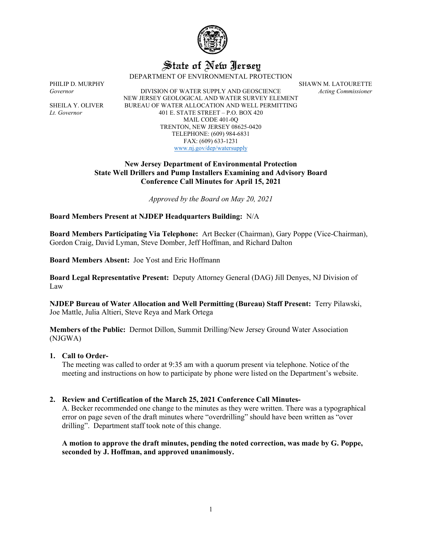

# State of New Jersey

DEPARTMENT OF ENVIRONMENTAL PROTECTION

PHILIP D. MURPHY SHAWN M. LATOURETTE

*Governor* DIVISION OF WATER SUPPLY AND GEOSCIENCE *Acting Commissioner* NEW JERSEY GEOLOGICAL AND WATER SURVEY ELEMENT SHEILA Y. OLIVER BUREAU OF WATER ALLOCATION AND WELL PERMITTING *Lt. Governor* 401 E. STATE STREET – P.O. BOX 420 MAIL CODE 401-0Q TRENTON, NEW JERSEY 08625-0420 TELEPHONE: (609) 984-6831 FAX: (609) 633-1231 [www.nj.gov/dep/watersupply](http://www.nj.gov/dep/watersupply)

## **New Jersey Department of Environmental Protection State Well Drillers and Pump Installers Examining and Advisory Board Conference Call Minutes for April 15, 2021**

*Approved by the Board on May 20, 2021*

**Board Members Present at NJDEP Headquarters Building:** N/A

**Board Members Participating Via Telephone:** Art Becker (Chairman), Gary Poppe (Vice-Chairman), Gordon Craig, David Lyman, Steve Domber, Jeff Hoffman, and Richard Dalton

**Board Members Absent:** Joe Yost and Eric Hoffmann

**Board Legal Representative Present:** Deputy Attorney General (DAG) Jill Denyes, NJ Division of Law

**NJDEP Bureau of Water Allocation and Well Permitting (Bureau) Staff Present:** Terry Pilawski, Joe Mattle, Julia Altieri, Steve Reya and Mark Ortega

**Members of the Public:** Dermot Dillon, Summit Drilling/New Jersey Ground Water Association (NJGWA)

## **1. Call to Order-**

The meeting was called to order at 9:35 am with a quorum present via telephone. Notice of the meeting and instructions on how to participate by phone were listed on the Department's website.

## **2. Review and Certification of the March 25, 2021 Conference Call Minutes-**

A. Becker recommended one change to the minutes as they were written. There was a typographical error on page seven of the draft minutes where "overdrilling" should have been written as "over drilling". Department staff took note of this change.

## **A motion to approve the draft minutes, pending the noted correction, was made by G. Poppe, seconded by J. Hoffman, and approved unanimously.**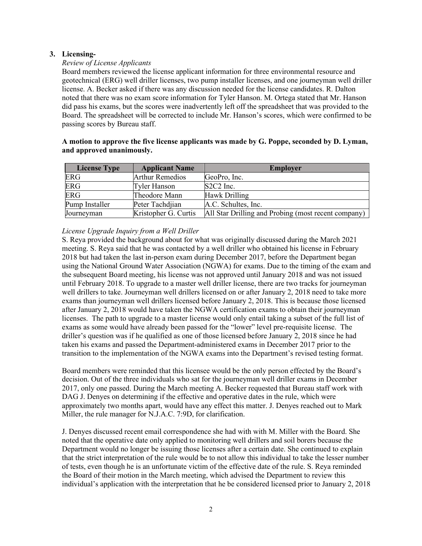# **3. Licensing-**

## *Review of License Applicants*

Board members reviewed the license applicant information for three environmental resource and geotechnical (ERG) well driller licenses, two pump installer licenses, and one journeyman well driller license. A. Becker asked if there was any discussion needed for the license candidates. R. Dalton noted that there was no exam score information for Tyler Hanson. M. Ortega stated that Mr. Hanson did pass his exams, but the scores were inadvertently left off the spreadsheet that was provided to the Board. The spreadsheet will be corrected to include Mr. Hanson's scores, which were confirmed to be passing scores by Bureau staff.

| <b>License Type</b> | <b>Applicant Name</b>  | <b>Employer</b>                                     |
|---------------------|------------------------|-----------------------------------------------------|
| ERG                 | <b>Arthur Remedios</b> | GeoPro, Inc.                                        |
| <b>ERG</b>          | Tyler Hanson           | $S2C2$ Inc.                                         |
| <b>ERG</b>          | Theodore Mann          | Hawk Drilling                                       |
| Pump Installer      | Peter Tachdjian        | A.C. Schultes, Inc.                                 |
| Journeyman          | Kristopher G. Curtis   | All Star Drilling and Probing (most recent company) |

# **A motion to approve the five license applicants was made by G. Poppe, seconded by D. Lyman, and approved unanimously.**

# *License Upgrade Inquiry from a Well Driller*

S. Reya provided the background about for what was originally discussed during the March 2021 meeting. S. Reya said that he was contacted by a well driller who obtained his license in February 2018 but had taken the last in-person exam during December 2017, before the Department began using the National Ground Water Association (NGWA) for exams. Due to the timing of the exam and the subsequent Board meeting, his license was not approved until January 2018 and was not issued until February 2018. To upgrade to a master well driller license, there are two tracks for journeyman well drillers to take. Journeyman well drillers licensed on or after January 2, 2018 need to take more exams than journeyman well drillers licensed before January 2, 2018. This is because those licensed after January 2, 2018 would have taken the NGWA certification exams to obtain their journeyman licenses. The path to upgrade to a master license would only entail taking a subset of the full list of exams as some would have already been passed for the "lower" level pre-requisite license. The driller's question was if he qualified as one of those licensed before January 2, 2018 since he had taken his exams and passed the Department-administered exams in December 2017 prior to the transition to the implementation of the NGWA exams into the Department's revised testing format.

Board members were reminded that this licensee would be the only person effected by the Board's decision. Out of the three individuals who sat for the journeyman well driller exams in December 2017, only one passed. During the March meeting A. Becker requested that Bureau staff work with DAG J. Denyes on determining if the effective and operative dates in the rule, which were approximately two months apart, would have any effect this matter. J. Denyes reached out to Mark Miller, the rule manager for N.J.A.C. 7:9D, for clarification.

J. Denyes discussed recent email correspondence she had with with M. Miller with the Board. She noted that the operative date only applied to monitoring well drillers and soil borers because the Department would no longer be issuing those licenses after a certain date. She continued to explain that the strict interpretation of the rule would be to not allow this individual to take the lesser number of tests, even though he is an unfortunate victim of the effective date of the rule. S. Reya reminded the Board of their motion in the March meeting, which advised the Department to review this individual's application with the interpretation that he be considered licensed prior to January 2, 2018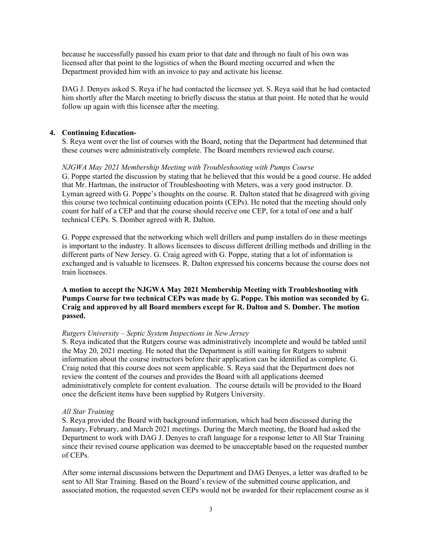because he successfully passed his exam prior to that date and through no fault of his own was licensed after that point to the logistics of when the Board meeting occurred and when the Department provided him with an invoice to pay and activate his license.

DAG J. Denyes asked S. Reya if he had contacted the licensee yet. S. Reya said that he had contacted him shortly after the March meeting to briefly discuss the status at that point. He noted that he would follow up again with this licensee after the meeting.

## **4. Continuing Education-**

S. Reya went over the list of courses with the Board, noting that the Department had determined that these courses were administratively complete. The Board members reviewed each course.

#### *NJGWA May 2021 Membership Meeting with Troubleshooting with Pumps Course*

G. Poppe started the discussion by stating that he believed that this would be a good course. He added that Mr. Hartman, the instructor of Troubleshooting with Meters, was a very good instructor. D. Lyman agreed with G. Poppe's thoughts on the course. R. Dalton stated that he disagreed with giving this course two technical continuing education points (CEPs). He noted that the meeting should only count for half of a CEP and that the course should receive one CEP, for a total of one and a half technical CEPs. S. Domber agreed with R. Dalton.

G. Poppe expressed that the networking which well drillers and pump installers do in these meetings is important to the industry. It allows licensees to discuss different drilling methods and drilling in the different parts of New Jersey. G. Craig agreed with G. Poppe, stating that a lot of information is exchanged and is valuable to licensees. R. Dalton expressed his concerns because the course does not train licensees.

## **A motion to accept the NJGWA May 2021 Membership Meeting with Troubleshooting with Pumps Course for two technical CEPs was made by G. Poppe. This motion was seconded by G. Craig and approved by all Board members except for R. Dalton and S. Domber. The motion passed.**

#### *Rutgers University – Septic System Inspections in New Jersey*

S. Reya indicated that the Rutgers course was administratively incomplete and would be tabled until the May 20, 2021 meeting. He noted that the Department is still waiting for Rutgers to submit information about the course instructors before their application can be identified as complete. G. Craig noted that this course does not seem applicable. S. Reya said that the Department does not review the content of the courses and provides the Board with all applications deemed administratively complete for content evaluation. The course details will be provided to the Board once the deficient items have been supplied by Rutgers University.

#### *All Star Training*

S. Reya provided the Board with background information, which had been discussed during the January, February, and March 2021 meetings. During the March meeting, the Board had asked the Department to work with DAG J. Denyes to craft language for a response letter to All Star Training since their revised course application was deemed to be unacceptable based on the requested number of CEPs.

After some internal discussions between the Department and DAG Denyes, a letter was drafted to be sent to All Star Training. Based on the Board's review of the submitted course application, and associated motion, the requested seven CEPs would not be awarded for their replacement course as it